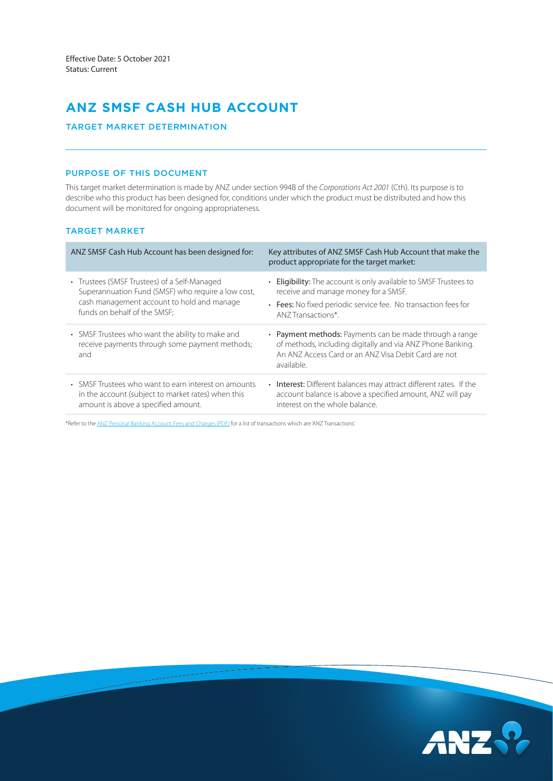# **ANZ SMSF CASH HUB ACCOUNT**

# TARGET MARKET DETERMINATION

# PURPOSE OF THIS DOCUMENT

This target market determination is made by ANZ under section 994B of the *Corporations Act 2001* (Cth). Its purpose is to describe who this product has been designed for, conditions under which the product must be distributed and how this document will be monitored for ongoing appropriateness.

# TARGET MARKET

| ANZ SMSF Cash Hub Account has been designed for:                                                          | Key attributes of ANZ SMSF Cash Hub Account that make the<br>product appropriate for the target market:                                                                                     |
|-----------------------------------------------------------------------------------------------------------|---------------------------------------------------------------------------------------------------------------------------------------------------------------------------------------------|
| • Trustees (SMSF Trustees) of a Self-Managed                                                              | • Eligibility: The account is only available to SMSF Trustees to                                                                                                                            |
| Superannuation Fund (SMSF) who require a low cost,                                                        | receive and manage money for a SMSF.                                                                                                                                                        |
| cash management account to hold and manage                                                                | • Fees: No fixed periodic service fee. No transaction fees for                                                                                                                              |
| funds on behalf of the SMSF;                                                                              | ANZ Transactions*.                                                                                                                                                                          |
| • SMSF Trustees who want the ability to make and<br>receive payments through some payment methods;<br>and | • Payment methods: Payments can be made through a range<br>of methods, including digitally and via ANZ Phone Banking.<br>An ANZ Access Card or an ANZ Visa Debit Card are not<br>available. |
| • SMSF Trustees who want to earn interest on amounts                                                      | <b>Interest:</b> Different balances may attract different rates. If the                                                                                                                     |
| in the account (subject to market rates) when this                                                        | account balance is above a specified amount, ANZ will pay                                                                                                                                   |
| amount is above a specified amount.                                                                       | interest on the whole balance.                                                                                                                                                              |

\*Refer to the [ANZ Personal Banking Account Fees and Charges \(PDF\)](https://www.anz.com.au/content/dam/anzcomau/documents/pdf/personal-account-fees-charges.pdf) for a list of transactions which are 'ANZ Transactions'.

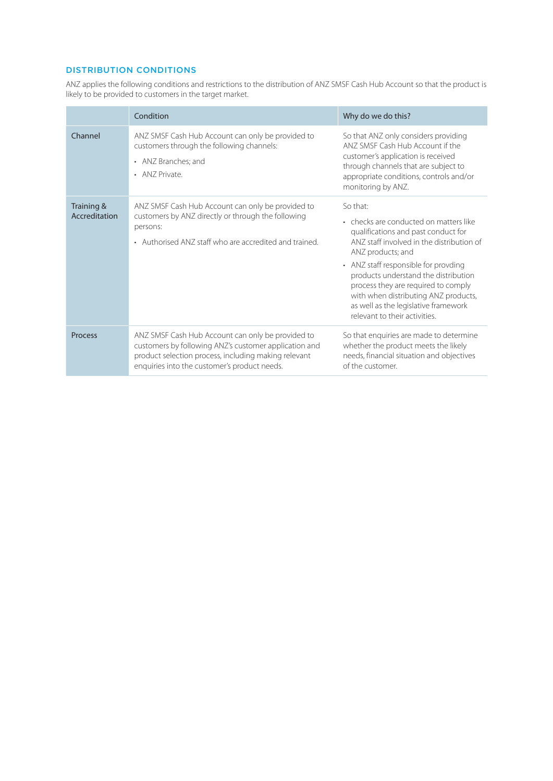# DISTRIBUTION CONDITIONS

ANZ applies the following conditions and restrictions to the distribution of ANZ SMSF Cash Hub Account so that the product is likely to be provided to customers in the target market.

|                             | Condition                                                                                                                                                                                                          | Why do we do this?                                                                                                                                                                                                                                                                                                                                                                                  |
|-----------------------------|--------------------------------------------------------------------------------------------------------------------------------------------------------------------------------------------------------------------|-----------------------------------------------------------------------------------------------------------------------------------------------------------------------------------------------------------------------------------------------------------------------------------------------------------------------------------------------------------------------------------------------------|
| Channel                     | ANZ SMSF Cash Hub Account can only be provided to<br>customers through the following channels:<br>• ANZ Branches; and<br>• ANZ Private.                                                                            | So that ANZ only considers providing<br>ANZ SMSE Cash Hub Account if the<br>customer's application is received<br>through channels that are subject to<br>appropriate conditions, controls and/or<br>monitoring by ANZ.                                                                                                                                                                             |
| Training &<br>Accreditation | ANZ SMSF Cash Hub Account can only be provided to<br>customers by ANZ directly or through the following<br>persons:<br>• Authorised ANZ staff who are accredited and trained.                                      | So that:<br>• checks are conducted on matters like<br>qualifications and past conduct for<br>ANZ staff involved in the distribution of<br>ANZ products; and<br>• ANZ staff responsible for provding<br>products understand the distribution<br>process they are required to comply<br>with when distributing ANZ products,<br>as well as the legislative framework<br>relevant to their activities. |
| Process                     | ANZ SMSF Cash Hub Account can only be provided to<br>customers by following ANZ's customer application and<br>product selection process, including making relevant<br>enquiries into the customer's product needs. | So that enquiries are made to determine<br>whether the product meets the likely<br>needs, financial situation and objectives<br>of the customer.                                                                                                                                                                                                                                                    |